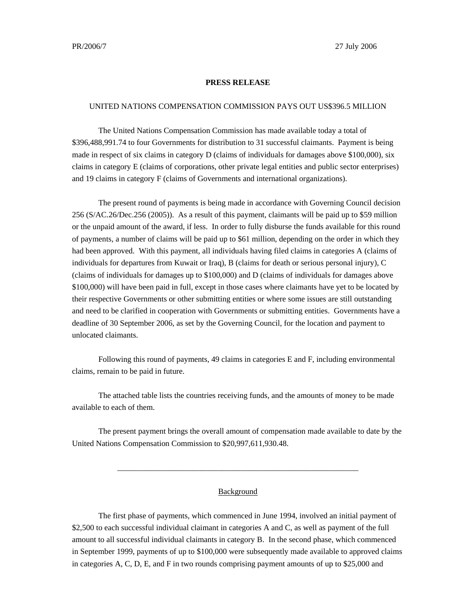## **PRESS RELEASE**

## UNITED NATIONS COMPENSATION COMMISSION PAYS OUT US\$396.5 MILLION

The United Nations Compensation Commission has made available today a total of \$396,488,991.74 to four Governments for distribution to 31 successful claimants. Payment is being made in respect of six claims in category D (claims of individuals for damages above \$100,000), six claims in category E (claims of corporations, other private legal entities and public sector enterprises) and 19 claims in category F (claims of Governments and international organizations).

The present round of payments is being made in accordance with Governing Council decision 256 (S/AC.26/Dec.256 (2005)). As a result of this payment, claimants will be paid up to \$59 million or the unpaid amount of the award, if less. In order to fully disburse the funds available for this round of payments, a number of claims will be paid up to \$61 million, depending on the order in which they had been approved. With this payment, all individuals having filed claims in categories A (claims of individuals for departures from Kuwait or Iraq), B (claims for death or serious personal injury), C (claims of individuals for damages up to \$100,000) and D (claims of individuals for damages above \$100,000) will have been paid in full, except in those cases where claimants have yet to be located by their respective Governments or other submitting entities or where some issues are still outstanding and need to be clarified in cooperation with Governments or submitting entities. Governments have a deadline of 30 September 2006, as set by the Governing Council, for the location and payment to unlocated claimants.

Following this round of payments, 49 claims in categories E and F, including environmental claims, remain to be paid in future.

The attached table lists the countries receiving funds, and the amounts of money to be made available to each of them.

The present payment brings the overall amount of compensation made available to date by the United Nations Compensation Commission to \$20,997,611,930.48.

## **Background**

\_\_\_\_\_\_\_\_\_\_\_\_\_\_\_\_\_\_\_\_\_\_\_\_\_\_\_\_\_\_\_\_\_\_\_\_\_\_\_\_\_\_\_\_\_\_\_\_\_\_\_\_\_\_\_\_\_\_\_\_

The first phase of payments, which commenced in June 1994, involved an initial payment of \$2,500 to each successful individual claimant in categories A and C, as well as payment of the full amount to all successful individual claimants in category B. In the second phase, which commenced in September 1999, payments of up to \$100,000 were subsequently made available to approved claims in categories A, C, D, E, and F in two rounds comprising payment amounts of up to \$25,000 and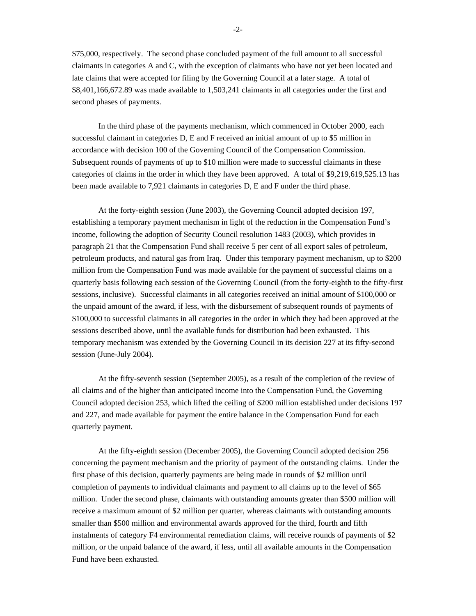\$75,000, respectively. The second phase concluded payment of the full amount to all successful claimants in categories A and C, with the exception of claimants who have not yet been located and late claims that were accepted for filing by the Governing Council at a later stage. A total of \$8,401,166,672.89 was made available to 1,503,241 claimants in all categories under the first and second phases of payments.

In the third phase of the payments mechanism, which commenced in October 2000, each successful claimant in categories D, E and F received an initial amount of up to \$5 million in accordance with decision 100 of the Governing Council of the Compensation Commission. Subsequent rounds of payments of up to \$10 million were made to successful claimants in these categories of claims in the order in which they have been approved. A total of \$9,219,619,525.13 has been made available to 7,921 claimants in categories D, E and F under the third phase.

At the forty-eighth session (June 2003), the Governing Council adopted decision 197, establishing a temporary payment mechanism in light of the reduction in the Compensation Fund's income, following the adoption of Security Council resolution 1483 (2003), which provides in paragraph 21 that the Compensation Fund shall receive 5 per cent of all export sales of petroleum, petroleum products, and natural gas from Iraq. Under this temporary payment mechanism, up to \$200 million from the Compensation Fund was made available for the payment of successful claims on a quarterly basis following each session of the Governing Council (from the forty-eighth to the fifty-first sessions, inclusive). Successful claimants in all categories received an initial amount of \$100,000 or the unpaid amount of the award, if less, with the disbursement of subsequent rounds of payments of \$100,000 to successful claimants in all categories in the order in which they had been approved at the sessions described above, until the available funds for distribution had been exhausted. This temporary mechanism was extended by the Governing Council in its decision 227 at its fifty-second session (June-July 2004).

At the fifty-seventh session (September 2005), as a result of the completion of the review of all claims and of the higher than anticipated income into the Compensation Fund, the Governing Council adopted decision 253, which lifted the ceiling of \$200 million established under decisions 197 and 227, and made available for payment the entire balance in the Compensation Fund for each quarterly payment.

At the fifty-eighth session (December 2005), the Governing Council adopted decision 256 concerning the payment mechanism and the priority of payment of the outstanding claims. Under the first phase of this decision, quarterly payments are being made in rounds of \$2 million until completion of payments to individual claimants and payment to all claims up to the level of \$65 million. Under the second phase, claimants with outstanding amounts greater than \$500 million will receive a maximum amount of \$2 million per quarter, whereas claimants with outstanding amounts smaller than \$500 million and environmental awards approved for the third, fourth and fifth instalments of category F4 environmental remediation claims, will receive rounds of payments of \$2 million, or the unpaid balance of the award, if less, until all available amounts in the Compensation Fund have been exhausted.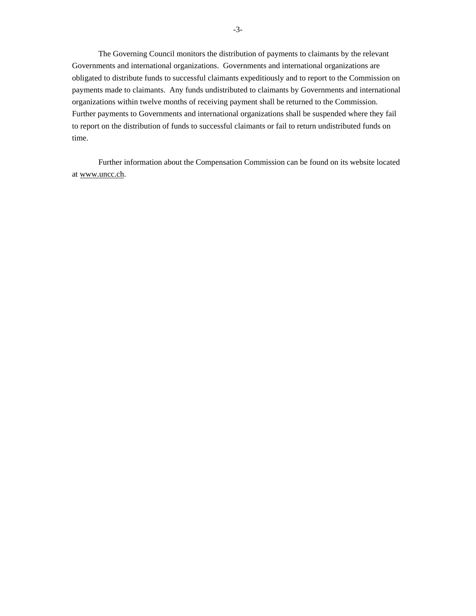The Governing Council monitors the distribution of payments to claimants by the relevant Governments and international organizations. Governments and international organizations are obligated to distribute funds to successful claimants expeditiously and to report to the Commission on payments made to claimants. Any funds undistributed to claimants by Governments and international organizations within twelve months of receiving payment shall be returned to the Commission. Further payments to Governments and international organizations shall be suspended where they fail to report on the distribution of funds to successful claimants or fail to return undistributed funds on time.

Further information about the Compensation Commission can be found on its website located at www.uncc.ch.